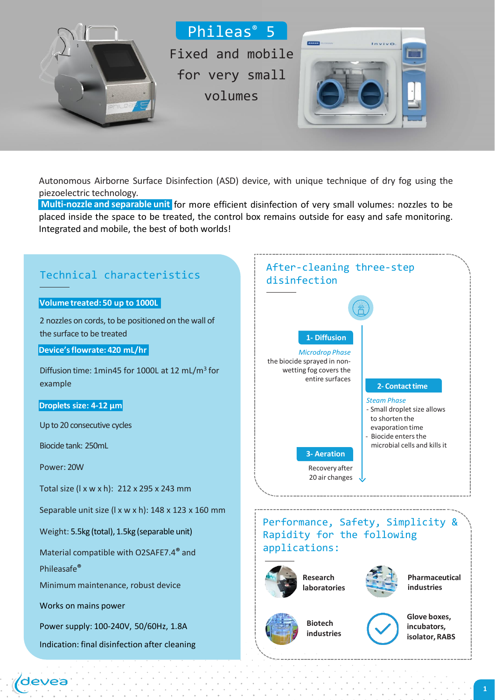

Autonomous Airborne Surface Disinfection (ASD) device, with unique technique of dry fog using the piezoelectric technology.

Muti-nozzle and separable unit for more efficient disinfection of very small volumes: nozzles to be **Multi-nozzle and separable unit**  placed inside the space to be treated, the control box remains outside for easy and safe monitoring. Integrated and mobile, the best of both worlds!